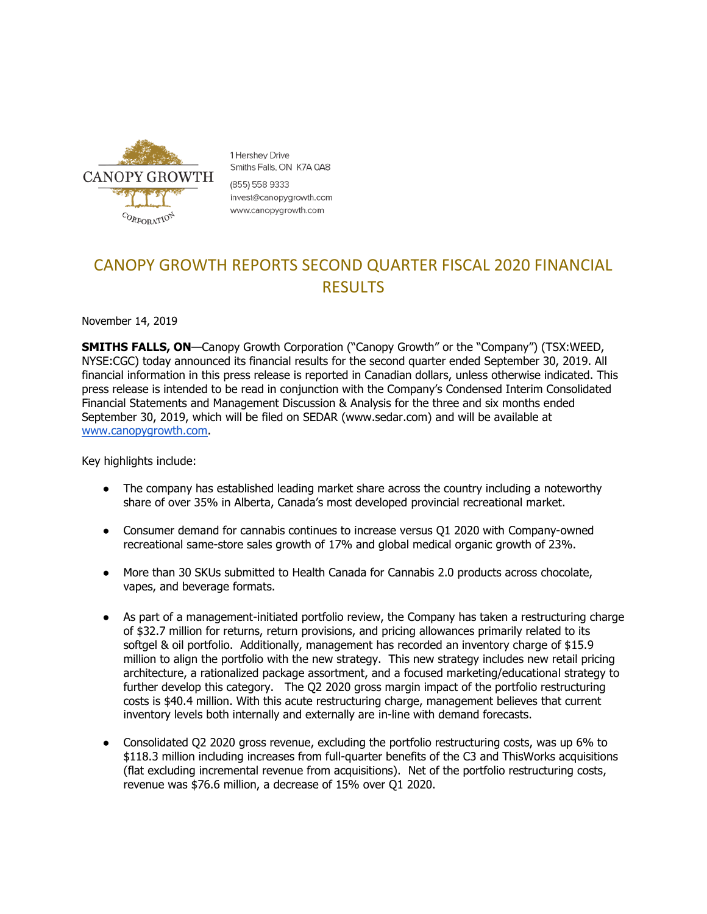

1 Hershey Drive Smiths Falls, ON K7A 0A8

(855) 558 9333 invest@canopygrowth.com www.canopygrowth.com

# CANOPY GROWTH REPORTS SECOND QUARTER FISCAL 2020 FINANCIAL **RESULTS**

November 14, 2019

**SMITHS FALLS, ON**—Canopy Growth Corporation ("Canopy Growth" or the "Company") (TSX:WEED, NYSE:CGC) today announced its financial results for the second quarter ended September 30, 2019. All financial information in this press release is reported in Canadian dollars, unless otherwise indicated. This press release is intended to be read in conjunction with the Company's Condensed Interim Consolidated Financial Statements and Management Discussion & Analysis for the three and six months ended September 30, 2019, which will be filed on SEDAR (www.sedar.com) and will be available at [www.canopygrowth.com.](http://www.canopygrowth.com/)

Key highlights include:

- The company has established leading market share across the country including a noteworthy share of over 35% in Alberta, Canada's most developed provincial recreational market.
- Consumer demand for cannabis continues to increase versus Q1 2020 with Company-owned recreational same-store sales growth of 17% and global medical organic growth of 23%.
- More than 30 SKUs submitted to Health Canada for Cannabis 2.0 products across chocolate, vapes, and beverage formats.
- As part of a management-initiated portfolio review, the Company has taken a restructuring charge of \$32.7 million for returns, return provisions, and pricing allowances primarily related to its softgel & oil portfolio. Additionally, management has recorded an inventory charge of \$15.9 million to align the portfolio with the new strategy. This new strategy includes new retail pricing architecture, a rationalized package assortment, and a focused marketing/educational strategy to further develop this category. The Q2 2020 gross margin impact of the portfolio restructuring costs is \$40.4 million. With this acute restructuring charge, management believes that current inventory levels both internally and externally are in-line with demand forecasts.
- Consolidated Q2 2020 gross revenue, excluding the portfolio restructuring costs, was up 6% to \$118.3 million including increases from full-quarter benefits of the C3 and ThisWorks acquisitions (flat excluding incremental revenue from acquisitions). Net of the portfolio restructuring costs, revenue was \$76.6 million, a decrease of 15% over Q1 2020.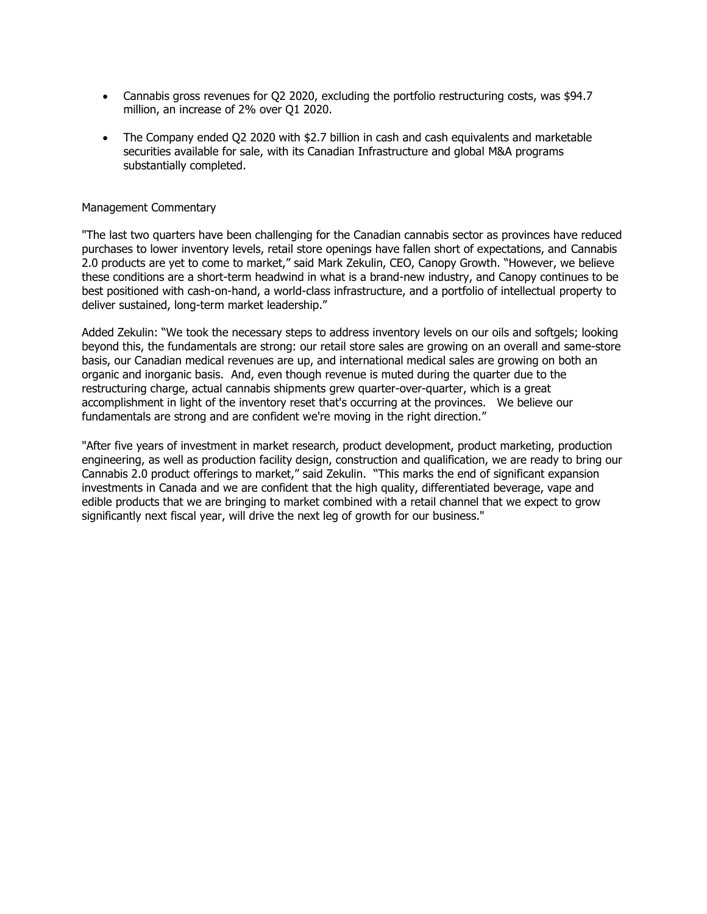- Cannabis gross revenues for Q2 2020, excluding the portfolio restructuring costs, was \$94.7 million, an increase of 2% over Q1 2020.
- The Company ended Q2 2020 with \$2.7 billion in cash and cash equivalents and marketable securities available for sale, with its Canadian Infrastructure and global M&A programs substantially completed.

#### Management Commentary

"The last two quarters have been challenging for the Canadian cannabis sector as provinces have reduced purchases to lower inventory levels, retail store openings have fallen short of expectations, and Cannabis 2.0 products are yet to come to market," said Mark Zekulin, CEO, Canopy Growth. "However, we believe these conditions are a short-term headwind in what is a brand-new industry, and Canopy continues to be best positioned with cash-on-hand, a world-class infrastructure, and a portfolio of intellectual property to deliver sustained, long-term market leadership."

Added Zekulin: "We took the necessary steps to address inventory levels on our oils and softgels; looking beyond this, the fundamentals are strong: our retail store sales are growing on an overall and same-store basis, our Canadian medical revenues are up, and international medical sales are growing on both an organic and inorganic basis. And, even though revenue is muted during the quarter due to the restructuring charge, actual cannabis shipments grew quarter-over-quarter, which is a great accomplishment in light of the inventory reset that's occurring at the provinces. We believe our fundamentals are strong and are confident we're moving in the right direction."

"After five years of investment in market research, product development, product marketing, production engineering, as well as production facility design, construction and qualification, we are ready to bring our Cannabis 2.0 product offerings to market," said Zekulin. "This marks the end of significant expansion investments in Canada and we are confident that the high quality, differentiated beverage, vape and edible products that we are bringing to market combined with a retail channel that we expect to grow significantly next fiscal year, will drive the next leg of growth for our business."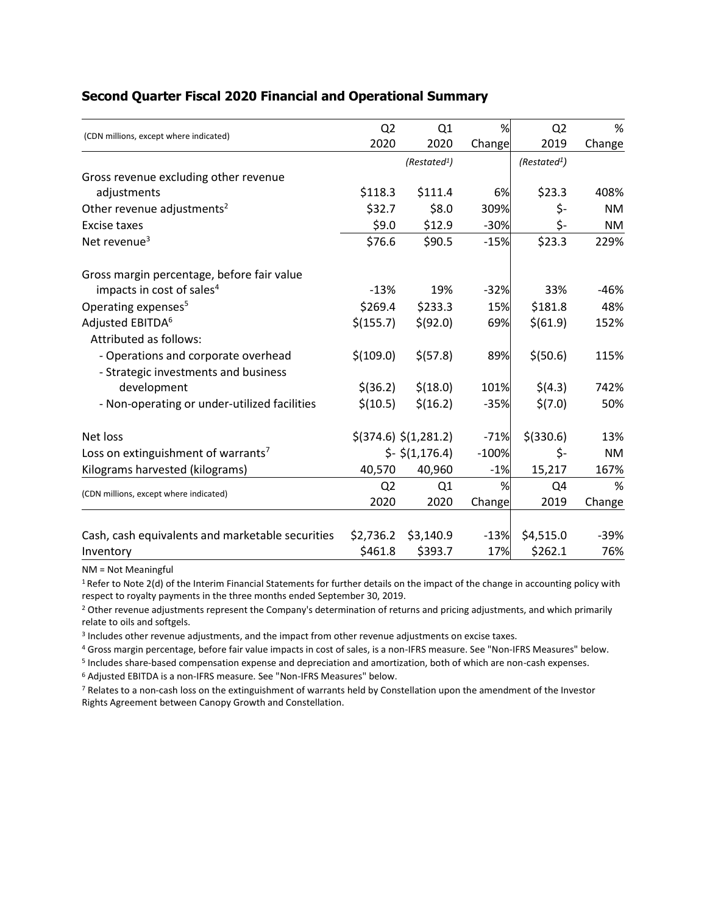| (CDN millions, except where indicated)           | Q <sub>2</sub> | Q1                          | %       | Q <sub>2</sub>           | %         |
|--------------------------------------------------|----------------|-----------------------------|---------|--------------------------|-----------|
|                                                  | 2020           | 2020                        | Change  | 2019                     | Change    |
|                                                  |                | (Restated <sup>1</sup> )    |         | (Restated <sup>1</sup> ) |           |
| Gross revenue excluding other revenue            |                |                             |         |                          |           |
| adjustments                                      | \$118.3        | \$111.4                     | 6%      | \$23.3                   | 408%      |
| Other revenue adjustments <sup>2</sup>           | \$32.7         | \$8.0                       | 309%    | \$-                      | <b>NM</b> |
| <b>Excise taxes</b>                              | \$9.0          | \$12.9                      | $-30%$  | \$-                      | <b>NM</b> |
| Net revenue $3$                                  | \$76.6         | \$90.5                      | $-15%$  | \$23.3                   | 229%      |
| Gross margin percentage, before fair value       |                |                             |         |                          |           |
| impacts in cost of sales <sup>4</sup>            | $-13%$         | 19%                         | $-32%$  | 33%                      | $-46%$    |
| Operating expenses <sup>5</sup>                  | \$269.4        | \$233.3                     | 15%     | \$181.8                  | 48%       |
| Adjusted EBITDA <sup>6</sup>                     | \$(155.7)      | \$ (92.0)                   | 69%     | \$(61.9)                 | 152%      |
| Attributed as follows:                           |                |                             |         |                          |           |
| - Operations and corporate overhead              | \$(109.0)      | \$ (57.8)                   | 89%     | \$(50.6)                 | 115%      |
| - Strategic investments and business             |                |                             |         |                          |           |
| development                                      | $$$ (36.2)     | \$(18.0)                    | 101%    | \$(4.3)                  | 742%      |
| - Non-operating or under-utilized facilities     | \$(10.5)       | \$(16.2)                    | $-35%$  | \$(7.0)                  | 50%       |
| Net loss                                         |                | $$$ (374.6) $$$ (1,281.2)   | $-71%$  | $$$ (330.6)              | 13%       |
| Loss on extinguishment of warrants <sup>7</sup>  |                | $\frac{1}{2}$ - \$(1,176.4) | $-100%$ | \$-                      | <b>NM</b> |
| Kilograms harvested (kilograms)                  | 40,570         | 40,960                      | $-1%$   | 15,217                   | 167%      |
|                                                  | Q <sub>2</sub> | Q1                          | %       | Q4                       | %         |
| (CDN millions, except where indicated)           | 2020           | 2020                        | Change  | 2019                     | Change    |
| Cash, cash equivalents and marketable securities | \$2,736.2      | \$3,140.9                   | $-13%$  | \$4,515.0                | $-39%$    |
| Inventory                                        | \$461.8        | \$393.7                     | 17%     | \$262.1                  | 76%       |

#### **Second Quarter Fiscal 2020 Financial and Operational Summary**

NM = Not Meaningful

<sup>1</sup>Refer to Note 2(d) of the Interim Financial Statements for further details on the impact of the change in accounting policy with respect to royalty payments in the three months ended September 30, 2019.

<sup>2</sup> Other revenue adjustments represent the Company's determination of returns and pricing adjustments, and which primarily relate to oils and softgels.

3 Includes other revenue adjustments, and the impact from other revenue adjustments on excise taxes.

<sup>4</sup> Gross margin percentage, before fair value impacts in cost of sales, is a non-IFRS measure. See "Non-IFRS Measures" below.

<sup>5</sup> Includes share-based compensation expense and depreciation and amortization, both of which are non-cash expenses.

<sup>6</sup> Adjusted EBITDA is a non-IFRS measure. See "Non-IFRS Measures" below.

<sup>7</sup> Relates to a non-cash loss on the extinguishment of warrants held by Constellation upon the amendment of the Investor Rights Agreement between Canopy Growth and Constellation.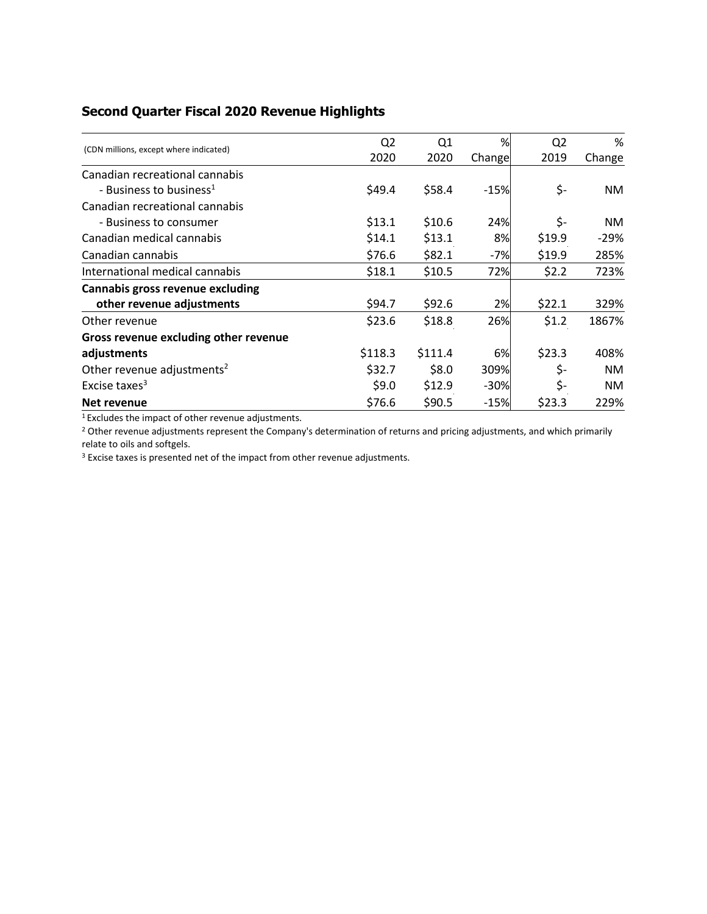# **Second Quarter Fiscal 2020 Revenue Highlights**

|                                        | Q <sub>2</sub> | Q1      | %      | Q <sub>2</sub> | %         |
|----------------------------------------|----------------|---------|--------|----------------|-----------|
| (CDN millions, except where indicated) | 2020           | 2020    | Change | 2019           | Change    |
| Canadian recreational cannabis         |                |         |        |                |           |
| - Business to business <sup>1</sup>    | \$49.4         | \$58.4  | $-15%$ | \$-            | NM.       |
| Canadian recreational cannabis         |                |         |        |                |           |
| - Business to consumer                 | \$13.1         | \$10.6  | 24%    | \$-            | NM.       |
| Canadian medical cannabis              | \$14.1         | \$13.1  | 8%     | \$19.9         | -29%      |
| Canadian cannabis                      | \$76.6         | \$82.1  | $-7%$  | \$19.9         | 285%      |
| International medical cannabis         | \$18.1         | \$10.5  | 72%    | \$2.2          | 723%      |
| Cannabis gross revenue excluding       |                |         |        |                |           |
| other revenue adjustments              | \$94.7         | \$92.6  | 2%     | \$22.1         | 329%      |
| Other revenue                          | \$23.6         | \$18.8  | 26%    | \$1.2          | 1867%     |
| Gross revenue excluding other revenue  |                |         |        |                |           |
| adjustments                            | \$118.3        | \$111.4 | 6%     | \$23.3         | 408%      |
| Other revenue adjustments <sup>2</sup> | \$32.7         | \$8.0   | 309%   | \$-            | <b>NM</b> |
| Excise taxes $3$                       | \$9.0          | \$12.9  | $-30%$ | \$-            | NM.       |
| Net revenue                            | \$76.6         | \$90.5  | $-15%$ | \$23.3         | 229%      |

 $^1$  Excludes the impact of other revenue adjustments.

<sup>2</sup> Other revenue adjustments represent the Company's determination of returns and pricing adjustments, and which primarily relate to oils and softgels.

<sup>3</sup> Excise taxes is presented net of the impact from other revenue adjustments.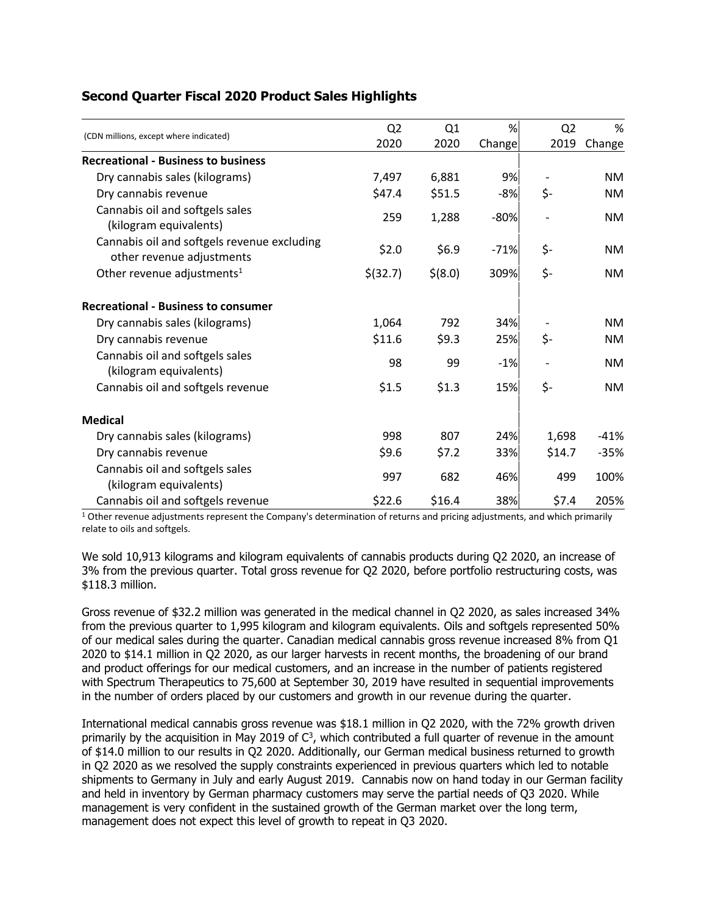|                                                                          | Q <sub>2</sub> | Q <sub>1</sub> | %      | Q <sub>2</sub> | %         |
|--------------------------------------------------------------------------|----------------|----------------|--------|----------------|-----------|
| (CDN millions, except where indicated)                                   | 2020           | 2020           | Change | 2019           | Change    |
| <b>Recreational - Business to business</b>                               |                |                |        |                |           |
| Dry cannabis sales (kilograms)                                           | 7,497          | 6,881          | 9%     |                | NM.       |
| Dry cannabis revenue                                                     | \$47.4         | \$51.5         | $-8%$  | \$-            | <b>NM</b> |
| Cannabis oil and softgels sales<br>(kilogram equivalents)                | 259            | 1,288          | $-80%$ |                | <b>NM</b> |
| Cannabis oil and softgels revenue excluding<br>other revenue adjustments | \$2.0          | \$6.9          | $-71%$ | \$-            | <b>NM</b> |
| Other revenue adjustments <sup>1</sup>                                   | \$ (32.7)      | \$(8.0)        | 309%   | \$-            | <b>NM</b> |
| <b>Recreational - Business to consumer</b>                               |                |                |        |                |           |
| Dry cannabis sales (kilograms)                                           | 1,064          | 792            | 34%    |                | <b>NM</b> |
| Dry cannabis revenue                                                     | \$11.6         | \$9.3          | 25%    | \$-            | <b>NM</b> |
| Cannabis oil and softgels sales<br>(kilogram equivalents)                | 98             | 99             | $-1%$  |                | <b>NM</b> |
| Cannabis oil and softgels revenue                                        | \$1.5          | \$1.3          | 15%    | \$-            | <b>NM</b> |
| <b>Medical</b>                                                           |                |                |        |                |           |
| Dry cannabis sales (kilograms)                                           | 998            | 807            | 24%    | 1,698          | $-41%$    |
| Dry cannabis revenue                                                     | \$9.6          | \$7.2          | 33%    | \$14.7         | $-35%$    |
| Cannabis oil and softgels sales<br>(kilogram equivalents)                | 997            | 682            | 46%    | 499            | 100%      |
| Cannabis oil and softgels revenue                                        | \$22.6         | \$16.4         | 38%    | \$7.4          | 205%      |

## **Second Quarter Fiscal 2020 Product Sales Highlights**

<sup>1</sup> Other revenue adjustments represent the Company's determination of returns and pricing adjustments, and which primarily relate to oils and softgels.

We sold 10,913 kilograms and kilogram equivalents of cannabis products during Q2 2020, an increase of 3% from the previous quarter. Total gross revenue for Q2 2020, before portfolio restructuring costs, was \$118.3 million.

Gross revenue of \$32.2 million was generated in the medical channel in Q2 2020, as sales increased 34% from the previous quarter to 1,995 kilogram and kilogram equivalents. Oils and softgels represented 50% of our medical sales during the quarter. Canadian medical cannabis gross revenue increased 8% from Q1 2020 to \$14.1 million in Q2 2020, as our larger harvests in recent months, the broadening of our brand and product offerings for our medical customers, and an increase in the number of patients registered with Spectrum Therapeutics to 75,600 at September 30, 2019 have resulted in sequential improvements in the number of orders placed by our customers and growth in our revenue during the quarter.

International medical cannabis gross revenue was \$18.1 million in Q2 2020, with the 72% growth driven primarily by the acquisition in May 2019 of  $C^3$ , which contributed a full quarter of revenue in the amount of \$14.0 million to our results in Q2 2020. Additionally, our German medical business returned to growth in Q2 2020 as we resolved the supply constraints experienced in previous quarters which led to notable shipments to Germany in July and early August 2019. Cannabis now on hand today in our German facility and held in inventory by German pharmacy customers may serve the partial needs of Q3 2020. While management is very confident in the sustained growth of the German market over the long term, management does not expect this level of growth to repeat in Q3 2020.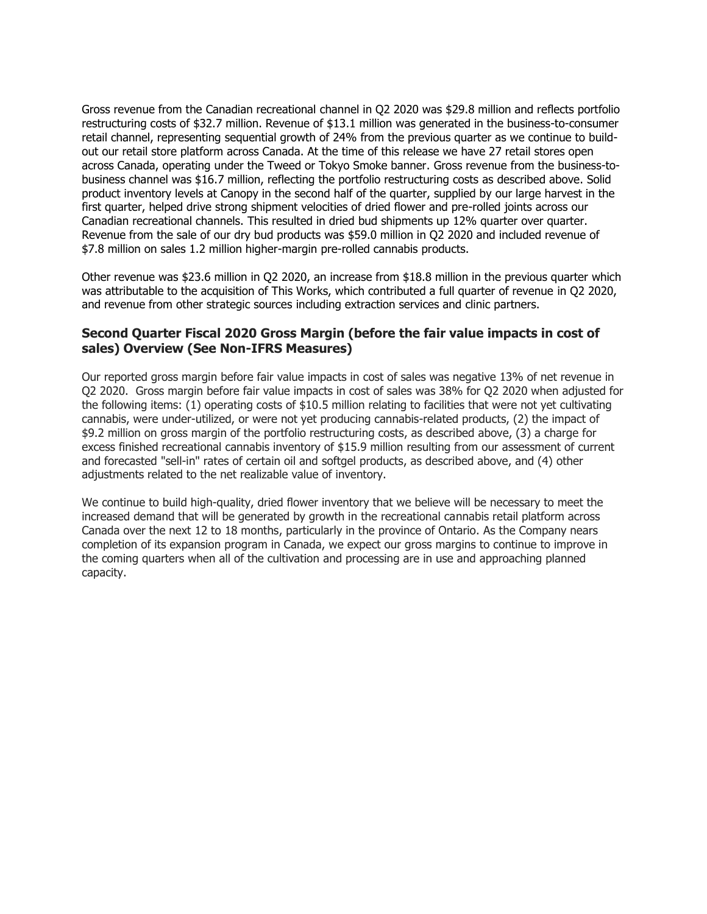Gross revenue from the Canadian recreational channel in Q2 2020 was \$29.8 million and reflects portfolio restructuring costs of \$32.7 million. Revenue of \$13.1 million was generated in the business-to-consumer retail channel, representing sequential growth of 24% from the previous quarter as we continue to buildout our retail store platform across Canada. At the time of this release we have 27 retail stores open across Canada, operating under the Tweed or Tokyo Smoke banner. Gross revenue from the business-tobusiness channel was \$16.7 million, reflecting the portfolio restructuring costs as described above. Solid product inventory levels at Canopy in the second half of the quarter, supplied by our large harvest in the first quarter, helped drive strong shipment velocities of dried flower and pre-rolled joints across our Canadian recreational channels. This resulted in dried bud shipments up 12% quarter over quarter. Revenue from the sale of our dry bud products was \$59.0 million in Q2 2020 and included revenue of \$7.8 million on sales 1.2 million higher-margin pre-rolled cannabis products.

Other revenue was \$23.6 million in Q2 2020, an increase from \$18.8 million in the previous quarter which was attributable to the acquisition of This Works, which contributed a full quarter of revenue in Q2 2020, and revenue from other strategic sources including extraction services and clinic partners.

### **Second Quarter Fiscal 2020 Gross Margin (before the fair value impacts in cost of sales) Overview (See Non-IFRS Measures)**

Our reported gross margin before fair value impacts in cost of sales was negative 13% of net revenue in Q2 2020. Gross margin before fair value impacts in cost of sales was 38% for Q2 2020 when adjusted for the following items: (1) operating costs of \$10.5 million relating to facilities that were not yet cultivating cannabis, were under-utilized, or were not yet producing cannabis-related products, (2) the impact of \$9.2 million on gross margin of the portfolio restructuring costs, as described above, (3) a charge for excess finished recreational cannabis inventory of \$15.9 million resulting from our assessment of current and forecasted "sell-in" rates of certain oil and softgel products, as described above, and (4) other adjustments related to the net realizable value of inventory.

We continue to build high-quality, dried flower inventory that we believe will be necessary to meet the increased demand that will be generated by growth in the recreational cannabis retail platform across Canada over the next 12 to 18 months, particularly in the province of Ontario. As the Company nears completion of its expansion program in Canada, we expect our gross margins to continue to improve in the coming quarters when all of the cultivation and processing are in use and approaching planned capacity.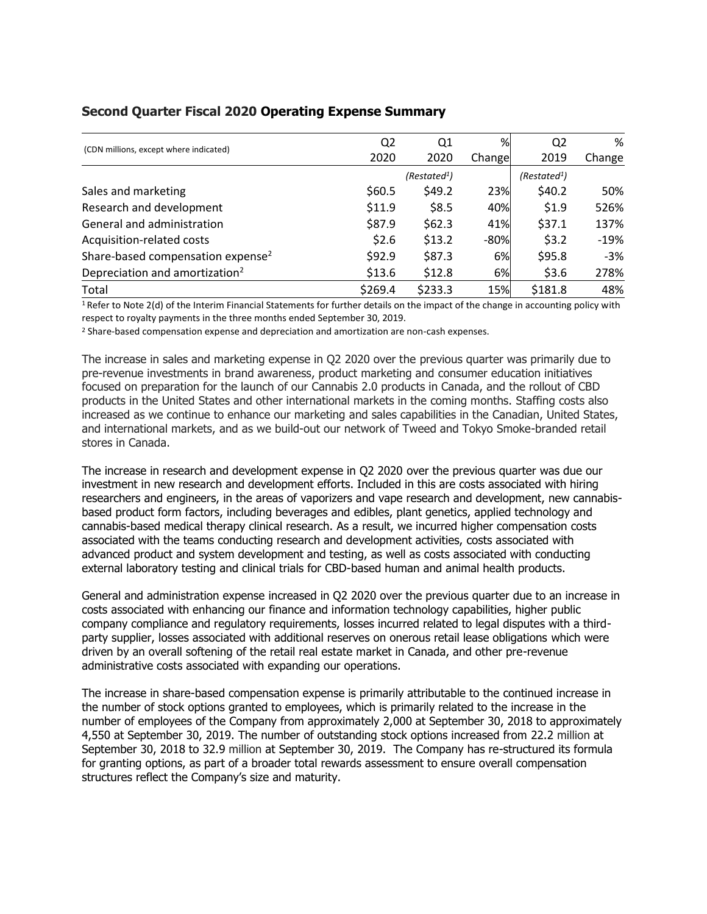| (CDN millions, except where indicated)        | Q <sub>2</sub> | Q1                       | %       | Q <sub>2</sub>           | %      |
|-----------------------------------------------|----------------|--------------------------|---------|--------------------------|--------|
|                                               | 2020           | 2020                     | Changel | 2019                     | Change |
|                                               |                | (Restated <sup>1</sup> ) |         | (Restated <sup>1</sup> ) |        |
| Sales and marketing                           | \$60.5         | \$49.2                   | 23%     | \$40.2                   | 50%    |
| Research and development                      | \$11.9         | \$8.5                    | 40%     | \$1.9                    | 526%   |
| General and administration                    | \$87.9         | \$62.3                   | 41%     | \$37.1                   | 137%   |
| Acquisition-related costs                     | \$2.6          | \$13.2                   | $-80%$  | \$3.2                    | $-19%$ |
| Share-based compensation expense <sup>2</sup> | \$92.9         | \$87.3                   | 6%      | \$95.8                   | $-3%$  |
| Depreciation and amortization <sup>2</sup>    | \$13.6         | \$12.8                   | 6%      | \$3.6                    | 278%   |
| Total                                         | \$269.4        | \$233.3                  | 15%     | \$181.8                  | 48%    |

## **Second Quarter Fiscal 2020 Operating Expense Summary**

 $1$ Refer to Note 2(d) of the Interim Financial Statements for further details on the impact of the change in accounting policy with respect to royalty payments in the three months ended September 30, 2019.

<sup>2</sup> Share-based compensation expense and depreciation and amortization are non-cash expenses.

The increase in sales and marketing expense in Q2 2020 over the previous quarter was primarily due to pre-revenue investments in brand awareness, product marketing and consumer education initiatives focused on preparation for the launch of our Cannabis 2.0 products in Canada, and the rollout of CBD products in the United States and other international markets in the coming months. Staffing costs also increased as we continue to enhance our marketing and sales capabilities in the Canadian, United States, and international markets, and as we build-out our network of Tweed and Tokyo Smoke-branded retail stores in Canada.

The increase in research and development expense in Q2 2020 over the previous quarter was due our investment in new research and development efforts. Included in this are costs associated with hiring researchers and engineers, in the areas of vaporizers and vape research and development, new cannabisbased product form factors, including beverages and edibles, plant genetics, applied technology and cannabis-based medical therapy clinical research. As a result, we incurred higher compensation costs associated with the teams conducting research and development activities, costs associated with advanced product and system development and testing, as well as costs associated with conducting external laboratory testing and clinical trials for CBD-based human and animal health products.

General and administration expense increased in Q2 2020 over the previous quarter due to an increase in costs associated with enhancing our finance and information technology capabilities, higher public company compliance and regulatory requirements, losses incurred related to legal disputes with a thirdparty supplier, losses associated with additional reserves on onerous retail lease obligations which were driven by an overall softening of the retail real estate market in Canada, and other pre-revenue administrative costs associated with expanding our operations.

The increase in share-based compensation expense is primarily attributable to the continued increase in the number of stock options granted to employees, which is primarily related to the increase in the number of employees of the Company from approximately 2,000 at September 30, 2018 to approximately 4,550 at September 30, 2019. The number of outstanding stock options increased from 22.2 million at September 30, 2018 to 32.9 million at September 30, 2019. The Company has re-structured its formula for granting options, as part of a broader total rewards assessment to ensure overall compensation structures reflect the Company's size and maturity.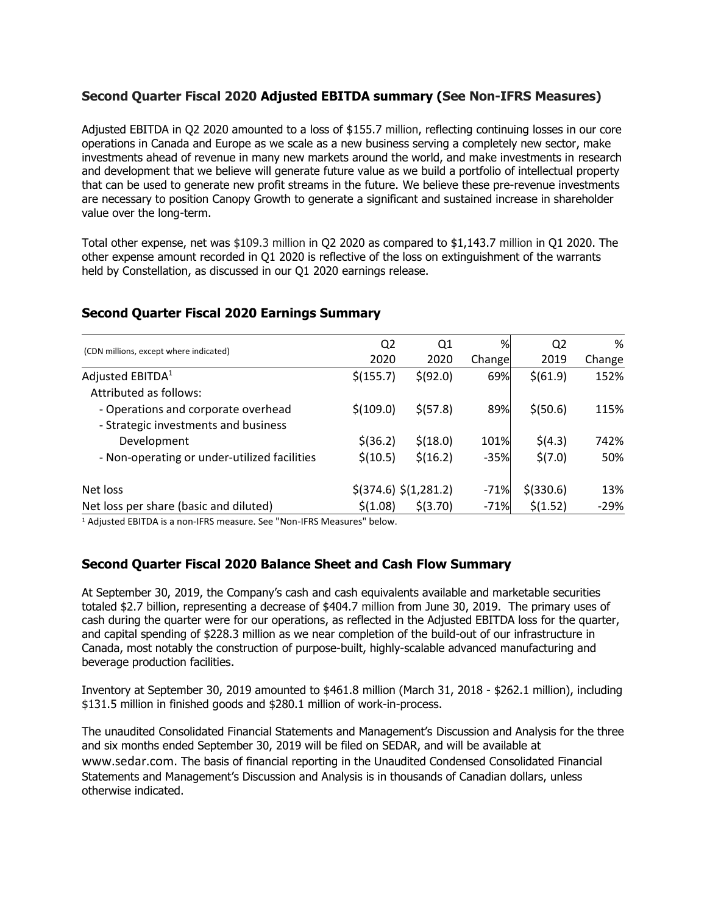### **Second Quarter Fiscal 2020 Adjusted EBITDA summary (See Non-IFRS Measures)**

Adjusted EBITDA in Q2 2020 amounted to a loss of \$155.7 million, reflecting continuing losses in our core operations in Canada and Europe as we scale as a new business serving a completely new sector, make investments ahead of revenue in many new markets around the world, and make investments in research and development that we believe will generate future value as we build a portfolio of intellectual property that can be used to generate new profit streams in the future. We believe these pre-revenue investments are necessary to position Canopy Growth to generate a significant and sustained increase in shareholder value over the long-term.

Total other expense, net was \$109.3 million in Q2 2020 as compared to \$1,143.7 million in Q1 2020. The other expense amount recorded in Q1 2020 is reflective of the loss on extinguishment of the warrants held by Constellation, as discussed in our Q1 2020 earnings release.

### **Second Quarter Fiscal 2020 Earnings Summary**

|                                              | Q <sub>2</sub> | Q <sub>1</sub>            | %      | Q <sub>2</sub> | %      |
|----------------------------------------------|----------------|---------------------------|--------|----------------|--------|
| (CDN millions, except where indicated)       | 2020           | 2020                      | Change | 2019           | Change |
| Adjusted EBITDA <sup>1</sup>                 | \$(155.7)      | \$ (92.0)                 | 69%    | \$(61.9)       | 152%   |
| Attributed as follows:                       |                |                           |        |                |        |
| - Operations and corporate overhead          | \$(109.0)      | \$ (57.8)                 | 89%    | \$(50.6)       | 115%   |
| - Strategic investments and business         |                |                           |        |                |        |
| Development                                  | $$$ (36.2)     | \$(18.0)                  | 101%   | \$(4.3)        | 742%   |
| - Non-operating or under-utilized facilities | \$(10.5)       | \$(16.2)                  | $-35%$ | \$(7.0)        | 50%    |
| Net loss                                     |                | $$$ (374.6) $$$ (1,281.2) | $-71%$ | $$$ (330.6)    | 13%    |
| Net loss per share (basic and diluted)       | \$(1.08)       | $$$ (3.70)                | $-71%$ | \$(1.52)       | $-29%$ |
|                                              |                |                           |        |                |        |

<sup>1</sup> Adjusted EBITDA is a non-IFRS measure. See "Non-IFRS Measures" below.

### **Second Quarter Fiscal 2020 Balance Sheet and Cash Flow Summary**

At September 30, 2019, the Company's cash and cash equivalents available and marketable securities totaled \$2.7 billion, representing a decrease of \$404.7 million from June 30, 2019. The primary uses of cash during the quarter were for our operations, as reflected in the Adjusted EBITDA loss for the quarter, and capital spending of \$228.3 million as we near completion of the build-out of our infrastructure in Canada, most notably the construction of purpose-built, highly-scalable advanced manufacturing and beverage production facilities.

Inventory at September 30, 2019 amounted to \$461.8 million (March 31, 2018 - \$262.1 million), including \$131.5 million in finished goods and \$280.1 million of work-in-process.

The unaudited Consolidated Financial Statements and Management's Discussion and Analysis for the three and six months ended September 30, 2019 will be filed on SEDAR, and will be available at www.sedar.com. The basis of financial reporting in the Unaudited Condensed Consolidated Financial Statements and Management's Discussion and Analysis is in thousands of Canadian dollars, unless otherwise indicated.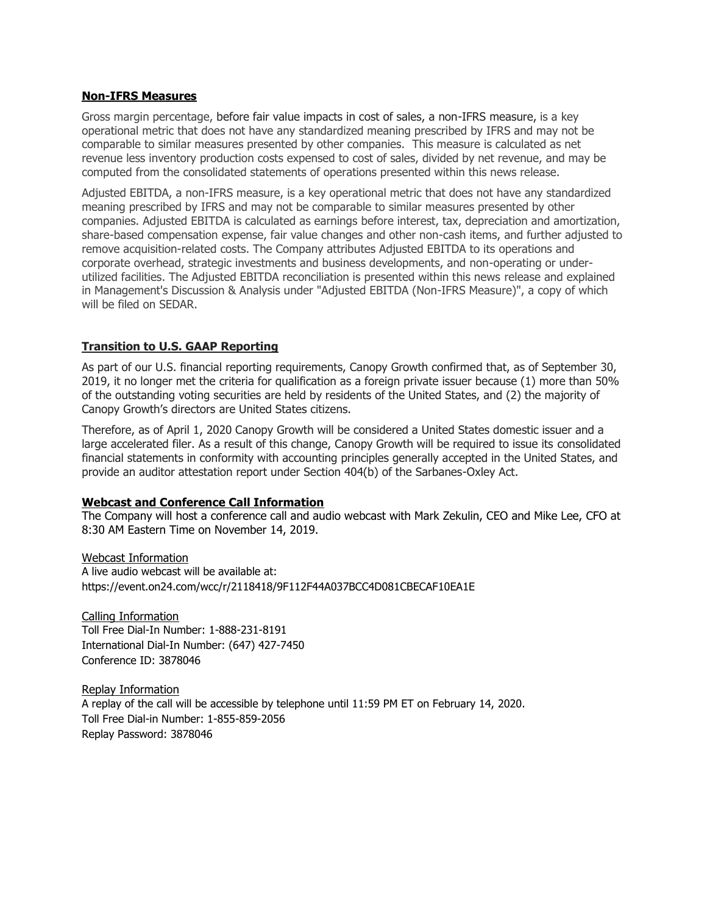#### **Non-IFRS Measures**

Gross margin percentage, before fair value impacts in cost of sales, a non-IFRS measure, is a key operational metric that does not have any standardized meaning prescribed by IFRS and may not be comparable to similar measures presented by other companies. This measure is calculated as net revenue less inventory production costs expensed to cost of sales, divided by net revenue, and may be computed from the consolidated statements of operations presented within this news release.

Adjusted EBITDA, a non-IFRS measure, is a key operational metric that does not have any standardized meaning prescribed by IFRS and may not be comparable to similar measures presented by other companies. Adjusted EBITDA is calculated as earnings before interest, tax, depreciation and amortization, share-based compensation expense, fair value changes and other non-cash items, and further adjusted to remove acquisition-related costs. The Company attributes Adjusted EBITDA to its operations and corporate overhead, strategic investments and business developments, and non-operating or underutilized facilities. The Adjusted EBITDA reconciliation is presented within this news release and explained in Management's Discussion & Analysis under "Adjusted EBITDA (Non-IFRS Measure)", a copy of which will be filed on SEDAR.

#### **Transition to U.S. GAAP Reporting**

As part of our U.S. financial reporting requirements, Canopy Growth confirmed that, as of September 30, 2019, it no longer met the criteria for qualification as a foreign private issuer because (1) more than 50% of the outstanding voting securities are held by residents of the United States, and (2) the majority of Canopy Growth's directors are United States citizens.

Therefore, as of April 1, 2020 Canopy Growth will be considered a United States domestic issuer and a large accelerated filer. As a result of this change, Canopy Growth will be required to issue its consolidated financial statements in conformity with accounting principles generally accepted in the United States, and provide an auditor attestation report under Section 404(b) of the Sarbanes-Oxley Act.

#### **Webcast and Conference Call Information**

The Company will host a conference call and audio webcast with Mark Zekulin, CEO and Mike Lee, CFO at 8:30 AM Eastern Time on November 14, 2019.

Webcast Information A live audio webcast will be available at: https://event.on24.com/wcc/r/2118418/9F112F44A037BCC4D081CBECAF10EA1E

Calling Information Toll Free Dial-In Number: 1-888-231-8191 International Dial-In Number: (647) 427-7450 Conference ID: 3878046

Replay Information A replay of the call will be accessible by telephone until 11:59 PM ET on February 14, 2020. Toll Free Dial-in Number: 1-855-859-2056 Replay Password: 3878046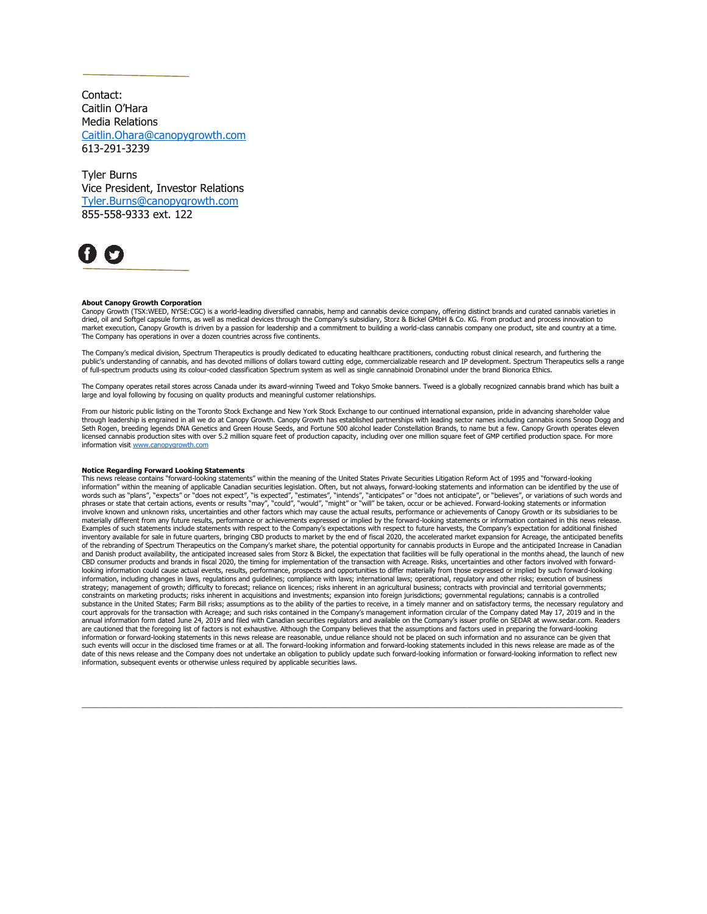Contact: Caitlin O'Hara Media Relations [Caitlin.Ohara@canopygrowth.com](mailto:Caitlin.Ohara@canopygrowth.com) 613-291-3239

Tyler Burns Vice President, Investor Relations [Tyler.Burns@canopygrowth.com](mailto:Tyler.Burns@canopygrowth.com) 855-558-9333 ext. 122



#### **About Canopy Growth Corporation**

Canopy Growth (TSX:WEED, NYSE:CGC) is a world-leading diversified cannabis, hemp and cannabis device company, offering distinct brands and curated cannabis varieties in dried, oil and Softgel capsule forms, as well as medical devices through the Company's subsidiary, Storz & Bickel GMbH & Co. KG. From product and process innovation to market execution, Canopy Growth is driven by a passion for leadership and a commitment to building a world-class cannabis company one product, site and country at a time. The Company has operations in over a dozen countries across five continents.

The Company's medical division, Spectrum Therapeutics is proudly dedicated to educating healthcare practitioners, conducting robust clinical research, and furthering the public's understanding of cannabis, and has devoted millions of dollars toward cutting edge, commercializable research and IP development. Spectrum Therapeutics sells a range<br>of full-spectrum products using its colour-code

The Company operates retail stores across Canada under its award-winning Tweed and Tokyo Smoke banners. Tweed is a globally recognized cannabis brand which has built a large and loyal following by focusing on quality products and meaningful customer relationships.

From our historic public listing on the Toronto Stock Exchange and New York Stock Exchange to our continued international expansion, pride in advancing shareholder value through leadership is engrained in all we do at Canopy Growth. Canopy Growth has established partnerships with leading sector names including cannabis icons Snoop Dogg and Seth Rogen, breeding legends DNA Genetics and Green House Seeds, and Fortune 500 alcohol leader Constellation Brands, to name but a few. Canopy Growth operates eleven<br>licensed cannabis production sites with over 5.2 millio information visi[t www.canopygrowth.com](http://canopygrowth.com/)

#### **Notice Regarding Forward Looking Statements**

This news release contains "forward-looking statements" within the meaning of the United States Private Securities Litigation Reform Act of 1995 and "forward-looking information" within the meaning of applicable Canadian securities legislation. Often, but not always, forward-looking statements and information can be identified by the use of<br>phrosts uch as "plans", "expects" or "does no materially different from any future results, performance or achievements expressed or implied by the forward-looking statements or information contained in this news release. Examples of such statements include statements with respect to the Company's expectations with respect to future harvests, the Company's expectation for additional finished<br>inventory available for sale in future quarters, of the rebranding of Spectrum Therapeutics on the Company's market share, the potential opportunity for cannabis products in Europe and the anticipated Increase in Canadian and Danish product availability, the anticipated increased sales from Storz & Bickel, the expectation that facilities will be fully operational in the months ahead, the launch of new CBD consumer products and brands in fiscal 2020, the timing for implementation of the transaction with Acreage. Risks, uncertainties and other factors involved with forward-<br>looking information could cause actual events, r information, including changes in laws, regulations and guidelines; compliance with laws; international laws; operational, regulatory and other risks; execution of business strategy; management of growth; difficulty to forecast; reliance on licences; risks inherent in an agricultural business; contracts with provincial and territorial governments;<br>constraints on marketing products; risks inhe substance in the United States; Farm Bill risks; assumptions as to the ability of the parties to receive, in a timely manner and on satisfactory terms, the necessary regulatory and court approvals for the transaction with Acreage; and such risks contained in the Company's management information circular of the Company dated May 17, 2019 and in the annual information form dated June 24, 2019 and filed with Canadian securities regulators and available on the Company's issuer profile on SEDAR at www.sedar.com. Readers are cautioned that the foregoing list of factors is not exhaustive. Although the Company believes that the assumptions and factors used in preparing the forward-looking<br>information or forward-looking statements in this new such events will occur in the disclosed time frames or at all. The forward-looking information and forward-looking statements included in this news release are made as of the date of this news release and the Company does not undertake an obligation to publicly update such forward-looking information or forward-looking information to reflect new information, subsequent events or otherwise unless required by applicable securities laws.

 $\mathcal{L}_\mathcal{L} = \mathcal{L}_\mathcal{L} = \mathcal{L}_\mathcal{L} = \mathcal{L}_\mathcal{L} = \mathcal{L}_\mathcal{L} = \mathcal{L}_\mathcal{L} = \mathcal{L}_\mathcal{L} = \mathcal{L}_\mathcal{L} = \mathcal{L}_\mathcal{L} = \mathcal{L}_\mathcal{L} = \mathcal{L}_\mathcal{L} = \mathcal{L}_\mathcal{L} = \mathcal{L}_\mathcal{L} = \mathcal{L}_\mathcal{L} = \mathcal{L}_\mathcal{L} = \mathcal{L}_\mathcal{L} = \mathcal{L}_\mathcal{L}$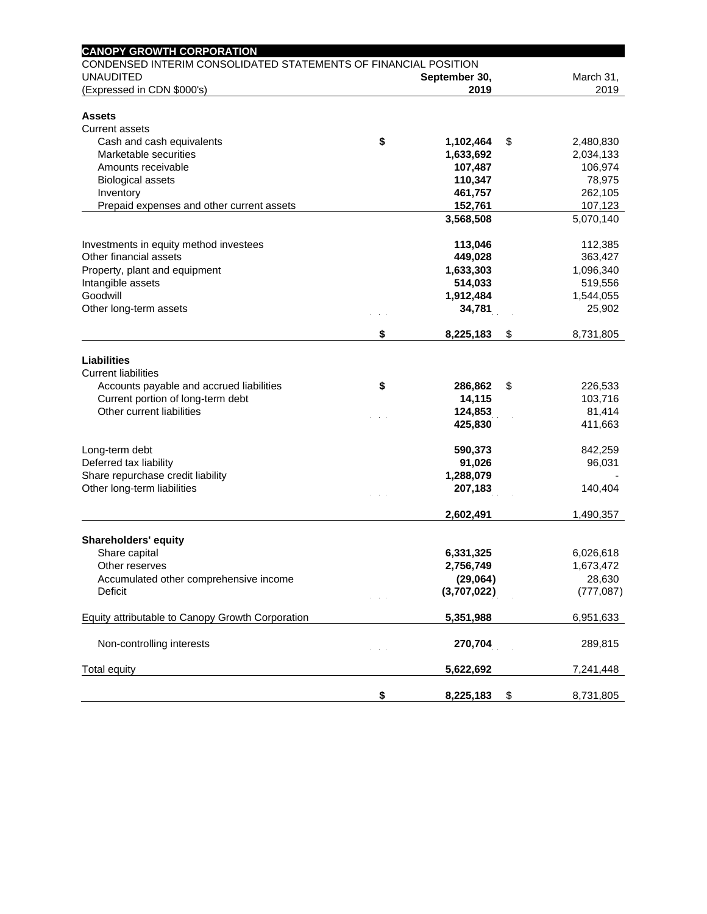| <b>CANOPY GROWTH CORPORATION</b><br>CONDENSED INTERIM CONSOLIDATED STATEMENTS OF FINANCIAL POSITION |                    |                   |
|-----------------------------------------------------------------------------------------------------|--------------------|-------------------|
| <b>UNAUDITED</b>                                                                                    | September 30,      | March 31,         |
| (Expressed in CDN \$000's)                                                                          | 2019               | 2019              |
| <b>Assets</b>                                                                                       |                    |                   |
| <b>Current assets</b>                                                                               |                    |                   |
| Cash and cash equivalents                                                                           | \$<br>1,102,464    | \$<br>2,480,830   |
| Marketable securities                                                                               | 1,633,692          | 2,034,133         |
| Amounts receivable                                                                                  | 107,487            | 106,974           |
| <b>Biological assets</b>                                                                            | 110,347<br>461,757 | 78,975<br>262,105 |
| Inventory<br>Prepaid expenses and other current assets                                              | 152,761            | 107,123           |
|                                                                                                     | 3,568,508          | 5,070,140         |
| Investments in equity method investees                                                              | 113,046            | 112,385           |
| Other financial assets                                                                              | 449,028            | 363,427           |
| Property, plant and equipment                                                                       | 1,633,303          | 1,096,340         |
| Intangible assets                                                                                   | 514,033            | 519,556           |
| Goodwill                                                                                            | 1,912,484          | 1,544,055         |
| Other long-term assets                                                                              | 34,781             | 25,902            |
|                                                                                                     | \$<br>8,225,183    | \$<br>8,731,805   |
| <b>Liabilities</b>                                                                                  |                    |                   |
| <b>Current liabilities</b>                                                                          |                    |                   |
| Accounts payable and accrued liabilities                                                            | \$<br>286,862      | \$<br>226,533     |
| Current portion of long-term debt                                                                   | 14,115             | 103,716           |
| Other current liabilities                                                                           | 124,853            | 81,414            |
|                                                                                                     | 425,830            | 411,663           |
| Long-term debt                                                                                      | 590,373            | 842,259           |
| Deferred tax liability                                                                              | 91,026             | 96,031            |
| Share repurchase credit liability                                                                   | 1,288,079          |                   |
| Other long-term liabilities                                                                         | 207,183            | 140,404           |
|                                                                                                     | 2,602,491          | 1,490,357         |
| Shareholders' equity                                                                                |                    |                   |
| Share capital                                                                                       | 6,331,325          | 6,026,618         |
| Other reserves                                                                                      | 2,756,749          | 1,673,472         |
| Accumulated other comprehensive income                                                              | (29,064)           | 28,630            |
| Deficit                                                                                             | (3,707,022)        | (777, 087)        |
| Equity attributable to Canopy Growth Corporation                                                    | 5,351,988          | 6,951,633         |
|                                                                                                     |                    |                   |
| Non-controlling interests                                                                           | 270,704            | 289,815           |
| <b>Total equity</b>                                                                                 | 5,622,692          | 7,241,448         |
|                                                                                                     | \$<br>8,225,183    | \$<br>8,731,805   |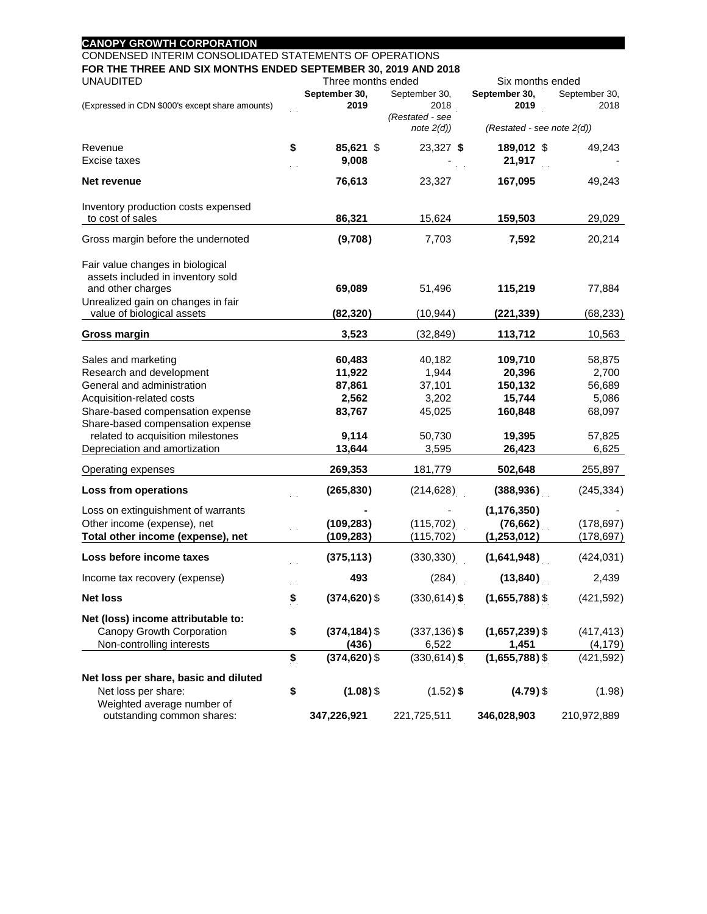|                                                                                                                                                                                                                                                                                                                                                                                                                  |          | Three months ended                                                                                                    |                                                                                                                      |                                                                                                                                               |                                                                                                                      |  |  |
|------------------------------------------------------------------------------------------------------------------------------------------------------------------------------------------------------------------------------------------------------------------------------------------------------------------------------------------------------------------------------------------------------------------|----------|-----------------------------------------------------------------------------------------------------------------------|----------------------------------------------------------------------------------------------------------------------|-----------------------------------------------------------------------------------------------------------------------------------------------|----------------------------------------------------------------------------------------------------------------------|--|--|
| <b>UNAUDITED</b>                                                                                                                                                                                                                                                                                                                                                                                                 |          | September 30,                                                                                                         | September 30,                                                                                                        | Six months ended<br>September 30,<br>September 30,                                                                                            |                                                                                                                      |  |  |
| (Expressed in CDN \$000's except share amounts)                                                                                                                                                                                                                                                                                                                                                                  |          | 2019                                                                                                                  | 2018                                                                                                                 | 2019                                                                                                                                          | 2018                                                                                                                 |  |  |
|                                                                                                                                                                                                                                                                                                                                                                                                                  |          |                                                                                                                       | (Restated - see<br>note 2(d)                                                                                         | $(Restated - see note 2(d))$                                                                                                                  |                                                                                                                      |  |  |
| Revenue<br>Excise taxes                                                                                                                                                                                                                                                                                                                                                                                          | \$       | 85,621 \$<br>9,008                                                                                                    | 23,327 \$                                                                                                            | 189,012 \$<br>21,917                                                                                                                          | 49,243                                                                                                               |  |  |
| Net revenue                                                                                                                                                                                                                                                                                                                                                                                                      |          | 76,613                                                                                                                | 23,327                                                                                                               | 167,095                                                                                                                                       | 49,243                                                                                                               |  |  |
| Inventory production costs expensed<br>to cost of sales                                                                                                                                                                                                                                                                                                                                                          |          | 86,321                                                                                                                | 15,624                                                                                                               | 159,503                                                                                                                                       | 29,029                                                                                                               |  |  |
| Gross margin before the undernoted                                                                                                                                                                                                                                                                                                                                                                               |          | (9,708)                                                                                                               | 7,703                                                                                                                | 7,592                                                                                                                                         | 20,214                                                                                                               |  |  |
| Fair value changes in biological<br>assets included in inventory sold<br>and other charges                                                                                                                                                                                                                                                                                                                       |          | 69,089                                                                                                                | 51,496                                                                                                               | 115,219                                                                                                                                       | 77,884                                                                                                               |  |  |
| Unrealized gain on changes in fair<br>value of biological assets                                                                                                                                                                                                                                                                                                                                                 |          | (82, 320)                                                                                                             | (10, 944)                                                                                                            | (221, 339)                                                                                                                                    | (68, 233)                                                                                                            |  |  |
| Gross margin                                                                                                                                                                                                                                                                                                                                                                                                     |          | 3,523                                                                                                                 | (32, 849)                                                                                                            | 113,712                                                                                                                                       | 10,563                                                                                                               |  |  |
| Sales and marketing<br>Research and development<br>General and administration<br>Acquisition-related costs<br>Share-based compensation expense<br>Share-based compensation expense<br>related to acquisition milestones<br>Depreciation and amortization<br>Operating expenses<br>Loss from operations<br>Loss on extinguishment of warrants<br>Other income (expense), net<br>Total other income (expense), net |          | 60,483<br>11,922<br>87,861<br>2,562<br>83,767<br>9,114<br>13,644<br>269,353<br>(265, 830)<br>(109, 283)<br>(109, 283) | 40,182<br>1,944<br>37,101<br>3,202<br>45,025<br>50,730<br>3,595<br>181,779<br>(214, 628)<br>(115, 702)<br>(115, 702) | 109,710<br>20,396<br>150,132<br>15,744<br>160,848<br>19,395<br>26,423<br>502,648<br>(388, 936)<br>(1, 176, 350)<br>(76, 662)<br>(1, 253, 012) | 58,875<br>2,700<br>56,689<br>5,086<br>68,097<br>57,825<br>6,625<br>255,897<br>(245, 334)<br>(178, 697)<br>(178, 697) |  |  |
| Loss before income taxes                                                                                                                                                                                                                                                                                                                                                                                         |          | (375, 113)                                                                                                            | (330, 330)                                                                                                           | (1,641,948)                                                                                                                                   | (424, 031)                                                                                                           |  |  |
| Income tax recovery (expense)                                                                                                                                                                                                                                                                                                                                                                                    |          | 493                                                                                                                   | (284)                                                                                                                | (13, 840)                                                                                                                                     | 2,439                                                                                                                |  |  |
| <b>Net loss</b>                                                                                                                                                                                                                                                                                                                                                                                                  | \$       | $(374, 620)$ \$                                                                                                       | $(330, 614)$ \$                                                                                                      | $(1,655,788)$ \$                                                                                                                              | (421, 592)                                                                                                           |  |  |
| Net (loss) income attributable to:<br>Canopy Growth Corporation<br>Non-controlling interests                                                                                                                                                                                                                                                                                                                     | \$<br>\$ | $(374, 184)$ \$<br>(436)<br>$(374, 620)$ \$                                                                           | $(337, 136)$ \$<br>6,522<br>$(330, 614)$ \$                                                                          | $(1,657,239)$ \$<br>1,451<br>$(1,655,788)$ \$                                                                                                 | (417, 413)<br>(4, 179)<br>(421, 592)                                                                                 |  |  |
| Net loss per share, basic and diluted<br>Net loss per share:<br>Weighted average number of<br>outstanding common shares:                                                                                                                                                                                                                                                                                         | \$       | $(1.08)$ \$<br>347,226,921                                                                                            | $(1.52)$ \$<br>221,725,511                                                                                           | $(4.79)$ \$<br>346,028,903                                                                                                                    | (1.98)<br>210,972,889                                                                                                |  |  |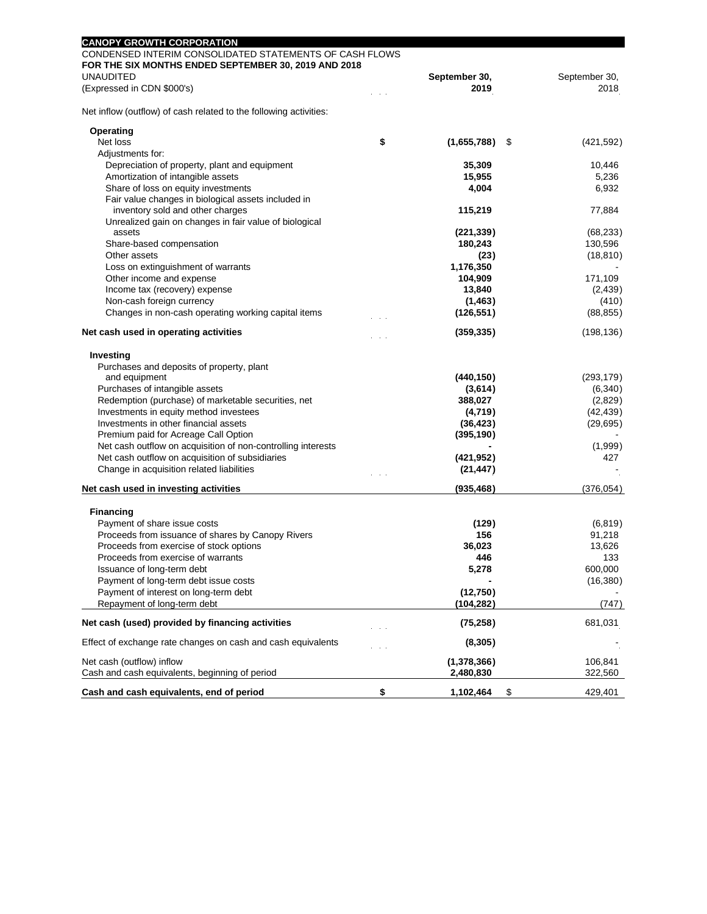| <b>CANOPY GROWTH CORPORATION</b>                                    |                   |                  |
|---------------------------------------------------------------------|-------------------|------------------|
| CONDENSED INTERIM CONSOLIDATED STATEMENTS OF CASH FLOWS             |                   |                  |
| FOR THE SIX MONTHS ENDED SEPTEMBER 30, 2019 AND 2018                |                   |                  |
| <b>UNAUDITED</b>                                                    | September 30,     | September 30,    |
| (Expressed in CDN \$000's)                                          | 2019              | 2018             |
| Net inflow (outflow) of cash related to the following activities:   |                   |                  |
| Operating                                                           |                   |                  |
| Net loss                                                            | \$<br>(1,655,788) | (421, 592)<br>\$ |
| Adjustments for:                                                    |                   |                  |
| Depreciation of property, plant and equipment                       | 35,309            | 10,446           |
| Amortization of intangible assets                                   | 15,955            | 5,236            |
| Share of loss on equity investments                                 | 4,004             | 6,932            |
| Fair value changes in biological assets included in                 |                   |                  |
| inventory sold and other charges                                    | 115,219           | 77,884           |
| Unrealized gain on changes in fair value of biological              |                   |                  |
| assets                                                              | (221, 339)        | (68, 233)        |
| Share-based compensation                                            | 180,243           | 130,596          |
| Other assets<br>Loss on extinguishment of warrants                  | (23)<br>1,176,350 | (18, 810)        |
| Other income and expense                                            | 104,909           | 171,109          |
| Income tax (recovery) expense                                       | 13,840            | (2, 439)         |
| Non-cash foreign currency                                           | (1, 463)          | (410)            |
| Changes in non-cash operating working capital items                 | (126, 551)        | (88, 855)        |
|                                                                     |                   |                  |
| Net cash used in operating activities                               | (359, 335)        | (198, 136)       |
| Investing                                                           |                   |                  |
| Purchases and deposits of property, plant                           |                   |                  |
| and equipment                                                       | (440, 150)        | (293, 179)       |
| Purchases of intangible assets                                      | (3,614)           | (6,340)          |
| Redemption (purchase) of marketable securities, net                 | 388,027           | (2,829)          |
| Investments in equity method investees                              | (4,719)           | (42, 439)        |
| Investments in other financial assets                               | (36, 423)         | (29, 695)        |
| Premium paid for Acreage Call Option                                | (395, 190)        |                  |
| Net cash outflow on acquisition of non-controlling interests        |                   | (1,999)          |
| Net cash outflow on acquisition of subsidiaries                     | (421, 952)        | 427              |
| Change in acquisition related liabilities                           | (21, 447)         |                  |
| Net cash used in investing activities                               | (935, 468)        | (376, 054)       |
|                                                                     |                   |                  |
| <b>Financing</b>                                                    |                   |                  |
| Payment of share issue costs                                        | (129)             | (6, 819)         |
| Proceeds from issuance of shares by Canopy Rivers                   | 156               | 91,218           |
| Proceeds from exercise of stock options                             | 36,023            | 13,626           |
| Proceeds from exercise of warrants                                  | 446               | 133              |
| Issuance of long-term debt<br>Payment of long-term debt issue costs | 5,278             | 600,000          |
| Payment of interest on long-term debt                               | (12,750)          | (16, 380)        |
| Repayment of long-term debt                                         | (104, 282)        | (747)            |
|                                                                     |                   |                  |
| Net cash (used) provided by financing activities                    | (75, 258)         | 681,031          |
| Effect of exchange rate changes on cash and cash equivalents        | (8, 305)          |                  |
| Net cash (outflow) inflow                                           | (1,378,366)       | 106,841          |
| Cash and cash equivalents, beginning of period                      | 2,480,830         | 322,560          |
| Cash and cash equivalents, end of period                            | \$<br>1,102,464   | 429,401<br>\$    |